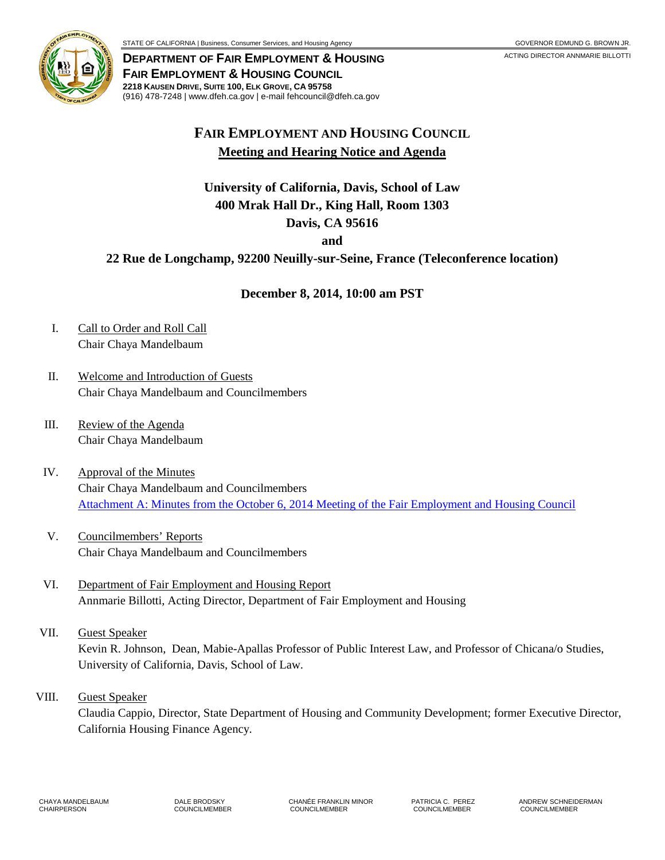

**DEPARTMENT OF FAIR EMPLOYMENT & HOUSING** ACTING DIRECTOR ANNMARIE BILLOTTI **FAIR EMPLOYMENT & HOUSING COUNCIL 2218 KAUSEN DRIVE, SUITE 100, ELK GROVE, CA 95758** (916) 478-7248 | www.dfeh.ca.gov | e-mail fehcouncil@dfeh.ca.gov

# **FAIR EMPLOYMENT AND HOUSING COUNCIL Meeting and Hearing Notice and Agenda**

## **University of California, Davis, School of Law 400 Mrak Hall Dr., King Hall, Room 1303 Davis, CA 95616**

**and** 

## **22 Rue de Longchamp, 92200 Neuilly-sur-Seine, France (Teleconference location)**

## **December 8, 2014, 10:00 am PST**

- I. Call to Order and Roll Call Chair Chaya Mandelbaum
- II. Welcome and Introduction of Guests Chair Chaya Mandelbaum and Councilmembers
- III. Review of the Agenda Chair Chaya Mandelbaum
- IV. Approval of the Minutes Chair Chaya Mandelbaum and Councilmembers Attachment A: Minutes from the October 6, 2014 [Meeting of the Fair Employment and Housing Council](/wp-content/uploads/sites/32/2017/06/AttachA-2014Dec8.pdf)
- V. Councilmembers' Reports Chair Chaya Mandelbaum and Councilmembers
- VI. Department of Fair Employment and Housing Report Annmarie Billotti, Acting Director, Department of Fair Employment and Housing
- VII. Guest Speaker Kevin R. Johnson, Dean, Mabie-Apallas Professor of Public Interest Law, and Professor of Chicana/o Studies, University of California, Davis, School of Law.
- VIII. Guest Speaker

Claudia Cappio, Director, State Department of Housing and Community Development; former Executive Director, California Housing Finance Agency.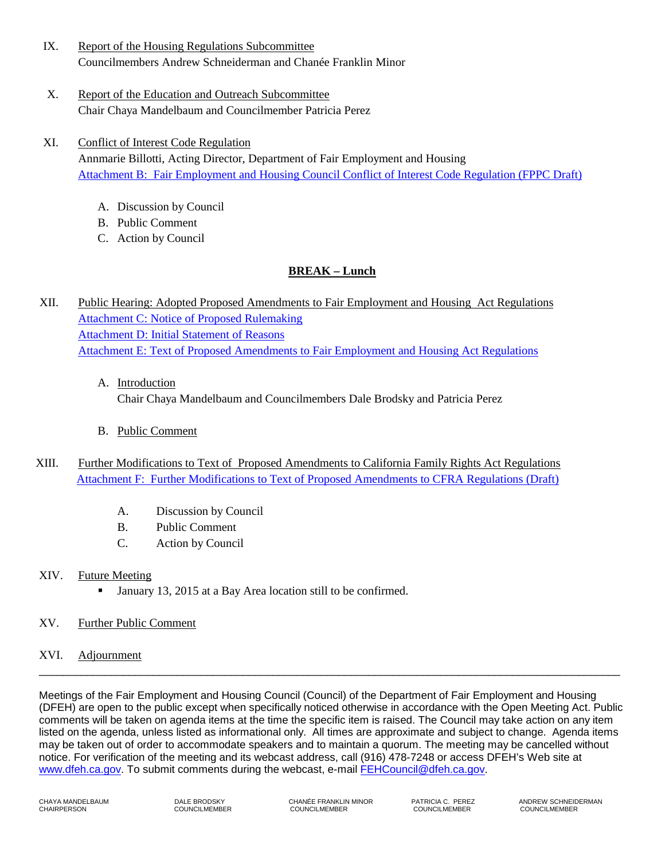- IX. Report of the Housing Regulations Subcommittee Councilmembers Andrew Schneiderman and Chanée Franklin Minor
- X. Report of the Education and Outreach Subcommittee Chair Chaya Mandelbaum and Councilmember Patricia Perez
- XI. Conflict of Interest Code Regulation Annmarie Billotti, Acting Director, Department of Fair Employment and Housing [Attachment B: Fair Employment and Housing Council Conflict of Interest Code Regulation \(FPPC Draft\)](/wp-content/uploads/sites/32/2017/06/AttachB-2014Dec8.pdf) 
	- A. Discussion by Council
	- B. Public Comment
	- C. Action by Council

### **BREAK – Lunch**

- XII. Public Hearing: Adopted Proposed Amendments to Fair Employment and Housing Act Regulations [Attachment C: Notice of Proposed Rulemaking](/wp-content/uploads/sites/32/2017/06/AttachC-2014Dec8.pdf) [Attachment D: Initial Statement of Reasons](/wp-content/uploads/sites/32/2017/06/AttachD-2014Dec8.pdf) [Attachment E: Text of Proposed Amendments to Fair Employment and Housing Act Regulations](/wp-content/uploads/sites/32/2017/06/AttachE-2014Dec8.pdf)
	- A. Introduction Chair Chaya Mandelbaum and Councilmembers Dale Brodsky and Patricia Perez
	- B. Public Comment
- XIII. Further Modifications to Text of Proposed Amendments to California Family Rights Act Regulations [Attachment F: Further Modifications to Text of Proposed Amendments to CFRA Regulations \(Draft\)](/wp-content/uploads/sites/32/2017/06/AttachF-2014Dec8.pdf) 
	- A. Discussion by Council
	- B. Public Comment
	- C. Action by Council

#### XIV. Future Meeting

January 13, 2015 at a Bay Area location still to be confirmed.

#### XV. Further Public Comment

#### XVI. Adjournment

Meetings of the Fair Employment and Housing Council (Council) of the Department of Fair Employment and Housing (DFEH) are open to the public except when specifically noticed otherwise in accordance with the Open Meeting Act. Public comments will be taken on agenda items at the time the specific item is raised. The Council may take action on any item listed on the agenda, unless listed as informational only. All times are approximate and subject to change. Agenda items may be taken out of order to accommodate speakers and to maintain a quorum. The meeting may be cancelled without notice. For verification of the meeting and its webcast address, call (916) 478-7248 or access DFEH's Web site at [www.dfeh.ca.gov.](http://www.dfeh.ca.gov/) To submit comments during the webcast, e-mail [FEHCouncil@dfeh.ca.gov.](mailto:FEHCouncil@dfeh.ca.gov)

 $\overline{\phantom{a}}$  , and the set of the set of the set of the set of the set of the set of the set of the set of the set of the set of the set of the set of the set of the set of the set of the set of the set of the set of the s

CHAIRPERSON COUNCILMEMBER COUNCILMEMBER COUNCILMEMBER COUNCILMEMBER

CHAYA MANDELBAUM DALE BRODSKY CHANÉE FRANKLIN MINOR PATRICIA C. PEREZ ANDREW SCHNEIDERMAN